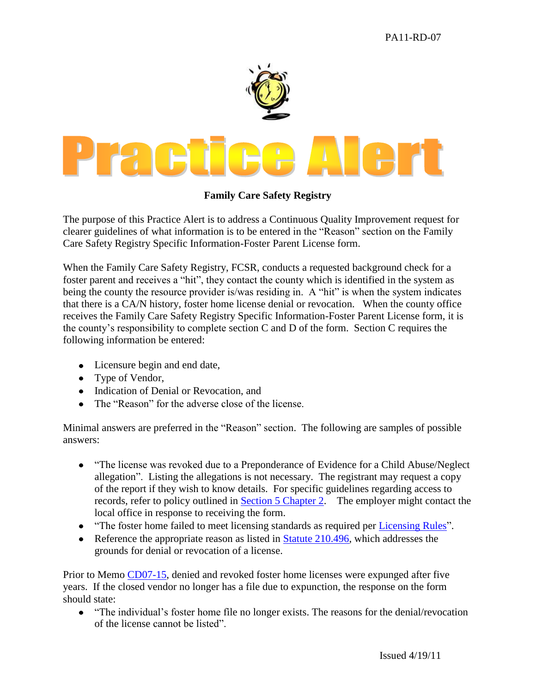

## **Family Care Safety Registry**

The purpose of this Practice Alert is to address a Continuous Quality Improvement request for clearer guidelines of what information is to be entered in the "Reason" section on the Family Care Safety Registry Specific Information-Foster Parent License form.

When the Family Care Safety Registry, FCSR, conducts a requested background check for a foster parent and receives a "hit", they contact the county which is identified in the system as being the county the resource provider is/was residing in. A "hit" is when the system indicates that there is a CA/N history, foster home license denial or revocation. When the county office receives the Family Care Safety Registry Specific Information-Foster Parent License form, it is the county's responsibility to complete section C and D of the form. Section C requires the following information be entered:

- Licensure begin and end date,
- Type of Vendor,
- Indication of Denial or Revocation, and
- The "Reason" for the adverse close of the license

Minimal answers are preferred in the "Reason" section. The following are samples of possible answers:

- "The license was revoked due to a Preponderance of Evidence for a Child Abuse/Neglect allegation". Listing the allegations is not necessary. The registrant may request a copy of the report if they wish to know details. For specific guidelines regarding access to records, refer to policy outlined in [Section 5 Chapter 2.](http://www.dss.mo.gov/cd/info/cwmanual/section5/ch2/sec5ch2index.htm) The employer might contact the local office in response to receiving the form.
- "The foster home failed to meet licensing standards as required per [Licensing Rules"](http://www.sos.mo.gov/adrules/csr/current/13csr/13c35-60.pdf).
- Reference the appropriate reason as listed in Statute  $210.496$ , which addresses the grounds for denial or revocation of a license.

Prior to Memo [CD07-15,](http://www.dss.mo.gov/cd/info/memos/2007/cd0715.pdf) denied and revoked foster home licenses were expunged after five years. If the closed vendor no longer has a file due to expunction, the response on the form should state:

"The individual's foster home file no longer exists. The reasons for the denial/revocation of the license cannot be listed".